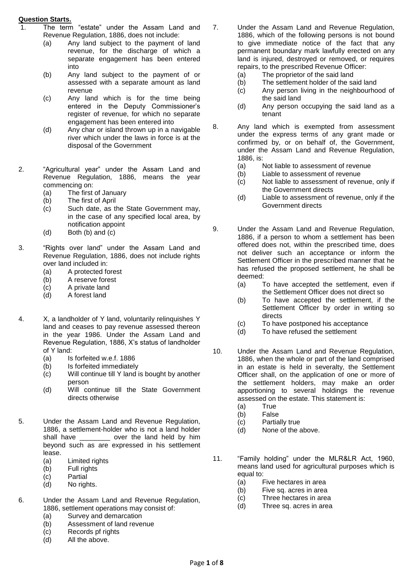## **Question Starts.**

- The term "estate" under the Assam Land and Revenue Regulation, 1886, does not include:
	- (a) Any land subject to the payment of land revenue, for the discharge of which a separate engagement has been entered into
	- (b) Any land subject to the payment of or assessed with a separate amount as land revenue
	- (c) Any land which is for the time being entered in the Deputy Commissioner's register of revenue, for which no separate engagement has been entered into
	- (d) Any char or island thrown up in a navigable river which under the laws in force is at the disposal of the Government
- 2. "Agricultural year" under the Assam Land and Revenue Regulation, 1886, means the year commencing on:
	- (a) The first of January
	- (b) The first of April
	- (c) Such date, as the State Government may, in the case of any specified local area, by notification appoint
	- $(d)$  Both  $(b)$  and  $(c)$
- 3. "Rights over land" under the Assam Land and Revenue Regulation, 1886, does not include rights over land included in:
	- (a) A protected forest
	- (b) A reserve forest
	- (c) A private land
	- (d) A forest land
- 4. X, a landholder of Y land, voluntarily relinquishes Y land and ceases to pay revenue assessed thereon in the year 1986. Under the Assam Land and Revenue Regulation, 1886, X's status of landholder of Y land:
	- (a) Is forfeited w.e.f. 1886
	- (b) Is forfeited immediately
	- (c) Will continue till Y land is bought by another person
	- (d) Will continue till the State Government directs otherwise
- 5. Under the Assam Land and Revenue Regulation, 1886, a settlement-holder who is not a land holder shall have \_\_\_\_\_\_\_\_ over the land held by him beyond such as are expressed in his settlement lease.
	- (a) Limited rights
	- (b) Full rights
	- (c) Partial
	- (d) No rights.
- 6. Under the Assam Land and Revenue Regulation, 1886, settlement operations may consist of:
	- (a) Survey and demarcation
	- (b) Assessment of land revenue
	- (c) Records pf rights
	- (d) All the above.
- 7. Under the Assam Land and Revenue Regulation, 1886, which of the following persons is not bound to give immediate notice of the fact that any permanent boundary mark lawfully erected on any land is injured, destroyed or removed, or requires repairs, to the prescribed Revenue Officer:
	- (a) The proprietor of the said land
	- (b) The settlement holder of the said land
	- (c) Any person living in the neighbourhood of the said land
	- (d) Any person occupying the said land as a tenant
- 8. Any land which is exempted from assessment under the express terms of any grant made or confirmed by, or on behalf of, the Government, under the Assam Land and Revenue Regulation, 1886, is:
	- (a) Not liable to assessment of revenue
	- (b) Liable to assessment of revenue
	- (c) Not liable to assessment of revenue, only if the Government directs
	- (d) Liable to assessment of revenue, only if the Government directs
- 9. Under the Assam Land and Revenue Regulation, 1886, if a person to whom a settlement has been offered does not, within the prescribed time, does not deliver such an acceptance or inform the Settlement Officer in the prescribed manner that he has refused the proposed settlement, he shall be deemed:
	- (a) To have accepted the settlement, even if the Settlement Officer does not direct so
	- (b) To have accepted the settlement, if the Settlement Officer by order in writing so directs
	- (c) To have postponed his acceptance
	- (d) To have refused the settlement
- 10. Under the Assam Land and Revenue Regulation, 1886, when the whole or part of the land comprised in an estate is held in severalty, the Settlement Officer shall, on the application of one or more of the settlement holders, may make an order apportioning to several holdings the revenue assessed on the estate. This statement is:
	- (a) True
	- (b) False
	- (c) Partially true
	- (d) None of the above.
- 11. "Family holding" under the MLR&LR Act, 1960, means land used for agricultural purposes which is equal to:
	- (a) Five hectares in area
	- (b) Five sq. acres in area
	- (c) Three hectares in area
	- (d) Three sq. acres in area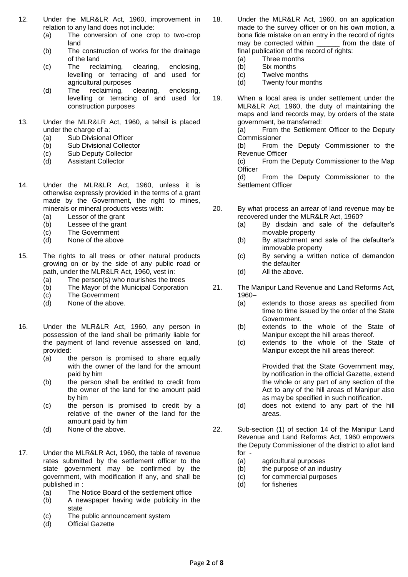- 12. Under the MLR&LR Act, 1960, improvement in relation to any land does not include:
	- (a) The conversion of one crop to two-crop land
	- (b) The construction of works for the drainage of the land
	- (c) The reclaiming, clearing, enclosing, levelling or terracing of and used for agricultural purposes
	- (d) The reclaiming, clearing, enclosing, levelling or terracing of and used for construction purposes
- 13. Under the MLR&LR Act, 1960, a tehsil is placed under the charge of a:
	- (a) Sub Divisional Officer
	- (b) Sub Divisional Collector
	- (c) Sub Deputy Collector
	- (d) Assistant Collector
- 14. Under the MLR&LR Act, 1960, unless it is otherwise expressly provided in the terms of a grant made by the Government, the right to mines, minerals or mineral products vests with:
	- (a) Lessor of the grant
	- (b) Lessee of the grant
	- (c) The Government
	- (d) None of the above
- 15. The rights to all trees or other natural products growing on or by the side of any public road or path, under the MLR&LR Act, 1960, vest in:
	- (a) The person(s) who nourishes the trees
	- (b) The Mayor of the Municipal Corporation
	- (c) The Government
	- (d) None of the above.
- 16. Under the MLR&LR Act, 1960, any person in possession of the land shall be primarily liable for the payment of land revenue assessed on land, provided:
	- (a) the person is promised to share equally with the owner of the land for the amount paid by him
	- (b) the person shall be entitled to credit from the owner of the land for the amount paid by him
	- (c) the person is promised to credit by a relative of the owner of the land for the amount paid by him
	- (d) None of the above.
- 17. Under the MLR&LR Act, 1960, the table of revenue rates submitted by the settlement officer to the state government may be confirmed by the government, with modification if any, and shall be published in :
	- (a) The Notice Board of the settlement office
	- (b) A newspaper having wide publicity in the state
	- (c) The public announcement system
	- (d) Official Gazette
- 18. Under the MLR&LR Act, 1960, on an application made to the survey officer or on his own motion, a bona fide mistake on an entry in the record of rights may be corrected within from the date of final publication of the record of rights:
	- (a) Three months
	- (b) Six months
	- (c) Twelve months (d) Twenty four months
- 19. When a local area is under settlement under the MLR&LR Act, 1960, the duty of maintaining the maps and land records may, by orders of the state government, be transferred:

(a) From the Settlement Officer to the Deputy Commissioner

(b) From the Deputy Commissioner to the Revenue Officer

(c) From the Deputy Commissioner to the Map **Officer** 

(d) From the Deputy Commissioner to the Settlement Officer

- 20. By what process an arrear of land revenue may be recovered under the MLR&LR Act, 1960?
	- (a) By disdain and sale of the defaulter's movable property
	- (b) By attachment and sale of the defaulter's immovable property
	- (c) By serving a written notice of demandon the defaulter
	- (d) All the above.
- 21. The Manipur Land Revenue and Land Reforms Act, 1960–
	- (a) extends to those areas as specified from time to time issued by the order of the State Government.
	- (b) extends to the whole of the State of Manipur except the hill areas thereof.
	- (c) extends to the whole of the State of Manipur except the hill areas thereof:

Provided that the State Government may, by notification in the official Gazette, extend the whole or any part of any section of the Act to any of the hill areas of Manipur also as may be specified in such notification.

- (d) does not extend to any part of the hill areas.
- 22. Sub-section (1) of section 14 of the Manipur Land Revenue and Land Reforms Act, 1960 empowers the Deputy Commissioner of the district to allot land for -
	- (a) agricultural purposes
	- (b) the purpose of an industry
	- (c) for commercial purposes
	- (d) for fisheries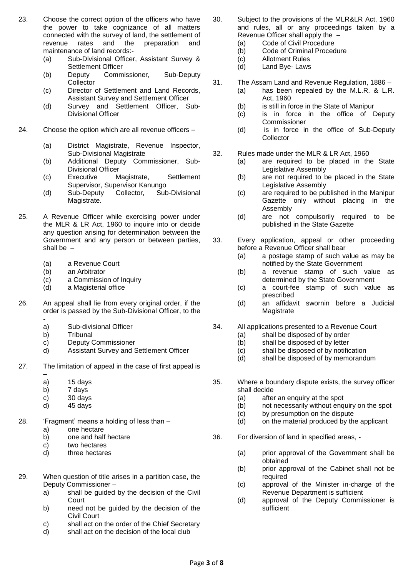- 23. Choose the correct option of the officers who have the power to take cognizance of all matters connected with the survey of land, the settlement of revenue rates and the preparation and maintenance of land records:-
	- (a) Sub-Divisional Officer, Assistant Survey & Settlement Officer
	- (b) Deputy Commissioner, Sub-Deputy Collector
	- (c) Director of Settlement and Land Records, Assistant Survey and Settlement Officer
	- (d) Survey and Settlement Officer, Sub-Divisional Officer
- 24. Choose the option which are all revenue officers
	- (a) District Magistrate, Revenue Inspector, Sub-Divisional Magistrate
	- (b) Additional Deputy Commissioner, Sub-Divisional Officer
	- (c) Executive Magistrate, Settlement Supervisor, Supervisor Kanungo
	- (d) Sub-Deputy Collector, Sub-Divisional Magistrate.
- 25. A Revenue Officer while exercising power under the MLR & LR Act, 1960 to inquire into or decide any question arising for determination between the Government and any person or between parties, shall be –
	- (a) a Revenue Court
	- (b) an Arbitrator
	- (c) a Commission of Inquiry
	- (d) a Magisterial office
- 26. An appeal shall lie from every original order, if the order is passed by the Sub-Divisional Officer, to the
	- a) Sub-divisional Officer
	- b) Tribunal
	- c) Deputy Commissioner
	- d) Assistant Survey and Settlement Officer
- 27. The limitation of appeal in the case of first appeal is –
	- a) 15 days
	- b) 7 days
	- c) 30 days
	- d) 45 days
- 28. 'Fragment' means a holding of less than
	- a) one hectare
	- b) one and half hectare
	- c) two hectares
	- d) three hectares
- 29. When question of title arises in a partition case, the Deputy Commissioner –
	- a) shall be guided by the decision of the Civil Court
	- b) need not be guided by the decision of the Civil Court
	- c) shall act on the order of the Chief Secretary
	- d) shall act on the decision of the local club
- 30. Subject to the provisions of the MLR&LR Act, 1960 and rules, all or any proceedings taken by a Revenue Officer shall apply the –
	- (a) Code of Civil Procedure
	- (b) Code of Criminal Procedure
	- (c) Allotment Rules
	- (d) Land Bye- Laws
- 31. The Assam Land and Revenue Regulation, 1886
	- (a) has been repealed by the M.L.R. & L.R. Act, 1960
		- (b) is still in force in the State of Manipur
		- (c) is in force in the office of Deputy **Commissioner**
		- (d) is in force in the office of Sub-Deputy **Collector**
- 32. Rules made under the MLR & LR Act, 1960
	- (a) are required to be placed in the State Legislative Assembly
	- (b) are not required to be placed in the State Legislative Assembly
	- (c) are required to be published in the Manipur Gazette only without placing in the Assembly
	- (d) are not compulsorily required to be published in the State Gazette
- 33. Every application, appeal or other proceeding before a Revenue Officer shall bear
	- (a) a postage stamp of such value as may be notified by the State Government
	- (b) a revenue stamp of such value as determined by the State Government
	- (c) a court-fee stamp of such value as prescribed
	- (d) an affidavit swornin before a Judicial **Magistrate**
- 34. All applications presented to a Revenue Court
	- (a) shall be disposed of by order
	- (b) shall be disposed of by letter
	- (c) shall be disposed of by notification
	- (d) shall be disposed of by memorandum
- 35. Where a boundary dispute exists, the survey officer shall decide
	- (a) after an enquiry at the spot
	- (b) not necessarily without enquiry on the spot
	- (c) by presumption on the dispute
	- (d) on the material produced by the applicant
- 36. For diversion of land in specified areas,
	- (a) prior approval of the Government shall be obtained
	- (b) prior approval of the Cabinet shall not be required
	- (c) approval of the Minister in-charge of the Revenue Department is sufficient
	- (d) approval of the Deputy Commissioner is sufficient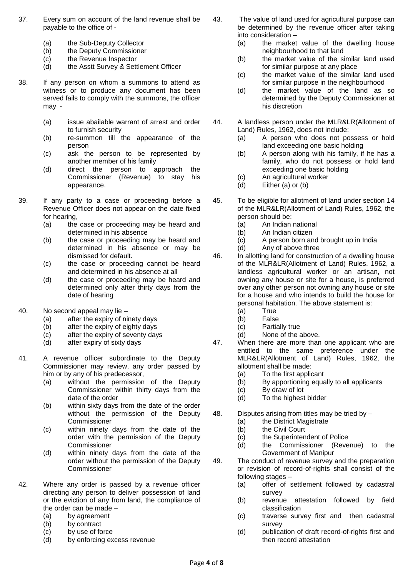- 37. Every sum on account of the land revenue shall be payable to the office of -
	- (a) the Sub-Deputy Collector
	- (b) the Deputy Commissioner
	- (c) the Revenue Inspector
	- (d) the Asstt Survey & Settlement Officer
- 38. If any person on whom a summons to attend as witness or to produce any document has been served fails to comply with the summons, the officer may -
	- (a) issue abailable warrant of arrest and order to furnish security
	- (b) re-summon till the appearance of the person
	- (c) ask the person to be represented by another member of his family
	- (d) direct the person to approach the Commissioner (Revenue) to stay his appearance.
- 39. If any party to a case or proceeding before a Revenue Officer does not appear on the date fixed for hearing,
	- (a) the case or proceeding may be heard and determined in his absence
	- (b) the case or proceeding may be heard and determined in his absence or may be dismissed for default.
	- (c) the case or proceeding cannot be heard and determined in his absence at all
	- (d) the case or proceeding may be heard and determined only after thirty days from the date of hearing
- 40. No second appeal may lie
	- (a) after the expiry of ninety days
	- (b) after the expiry of eighty days
	- (c) after the expiry of seventy days
	- (d) after expiry of sixty days
- 41. A revenue officer subordinate to the Deputy Commissioner may review, any order passed by him or by any of his predecessor,
	- (a) without the permission of the Deputy Commissioner within thirty days from the date of the order
	- (b) within sixty days from the date of the order without the permission of the Deputy Commissioner
	- (c) within ninety days from the date of the order with the permission of the Deputy **Commissioner**
	- (d) within ninety days from the date of the order without the permission of the Deputy Commissioner
- 42. Where any order is passed by a revenue officer directing any person to deliver possession of land or the eviction of any from land, the compliance of the order can be made –
	- (a) by agreement
	- (b) by contract
	- (c) by use of force
	- (d) by enforcing excess revenue
- 43. The value of land used for agricultural purpose can be determined by the revenue officer after taking into consideration –
	- (a) the market value of the dwelling house neighbourhood to that land
	- (b) the market value of the similar land used for similar purpose at any place
	- (c) the market value of the similar land used for similar purpose in the neighbourhood
	- (d) the market value of the land as so determined by the Deputy Commissioner at his discretion
- 44. A landless person under the MLR&LR(Allotment of Land) Rules, 1962, does not include:
	- (a) A person who does not possess or hold land exceeding one basic holding
	- (b) A person along with his family, if he has a family, who do not possess or hold land exceeding one basic holding
	- (c) An agricultural worker
	- (d) Either (a) or (b)
- 45. To be eligible for allotment of land under section 14 of the MLR&LR(Allotment of Land) Rules, 1962, the person should be:
	- (a) An Indian national
	- (b) An Indian citizen
	- (c) A person born and brought up in India
	- (d) Any of above three
- 46. In allotting land for construction of a dwelling house of the MLR&LR(Allotment of Land) Rules, 1962, a landless agricultural worker or an artisan, not owning any house or site for a house, is preferred over any other person not owning any house or site for a house and who intends to build the house for personal habitation. The above statement is:
	- (a) True
	- (b) False
	- (c) Partially true
	- (d) None of the above.
- 47. When there are more than one applicant who are entitled to the same preference under the MLR&LR(Allotment of Land) Rules, 1962, the allotment shall be made:
	- (a) To the first applicant
	- (b) By apportioning equally to all applicants
	- (c) By draw of lot
	- (d) To the highest bidder
- 48. Disputes arising from titles may be tried by
	- (a) the District Magistrate
	- (b) the Civil Court
	- (c) the Superintendent of Police
	- (d) the Commissioner (Revenue) to the Government of Manipur
- 49. The conduct of revenue survey and the preparation or revision of record-of-rights shall consist of the following stages –
	- (a) offer of settlement followed by cadastral survey
	- (b) revenue attestation followed by field classification
	- (c) traverse survey first and then cadastral survey
	- (d) publication of draft record-of-rights first and then record attestation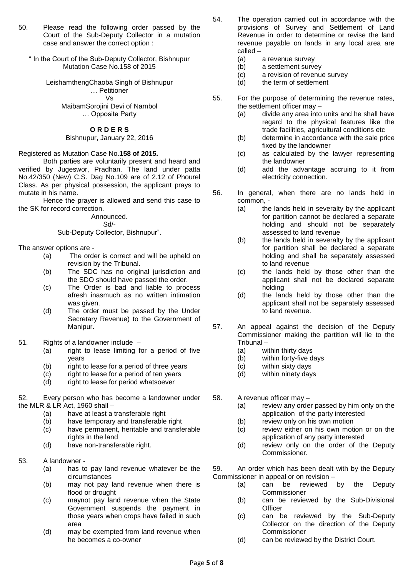50. Please read the following order passed by the Court of the Sub-Deputy Collector in a mutation case and answer the correct option :

" In the Court of the Sub-Deputy Collector, Bishnupur Mutation Case No.158 of 2015

> LeishamthengChaoba Singh of Bishnupur … Petitioner Vs MaibamSorojini Devi of Nambol

… Opposite Party

## **O R D E R S**

## Bishnupur, January 22, 2016

Registered as Mutation Case No.**158 of 2015.**

Both parties are voluntarily present and heard and verified by Jugeswor, Pradhan. The land under patta No.42/350 (New) C.S. Dag No.109 are of 2.12 of Phourel Class. As per physical possession, the applicant prays to mutate in his name.

Hence the prayer is allowed and send this case to the SK for record correction.

> Announced. Sd/-

Sub-Deputy Collector, Bishnupur".

The answer options are -

- (a) The order is correct and will be upheld on revision by the Tribunal.
- (b) The SDC has no original jurisdiction and the SDO should have passed the order.
- (c) The Order is bad and liable to process afresh inasmuch as no written intimation was given.
- (d) The order must be passed by the Under Secretary Revenue) to the Government of Manipur.
- 51. Rights of a landowner include
	- (a) right to lease limiting for a period of five years
	- (b) right to lease for a period of three years
	- (c) right to lease for a period of ten years
	- (d) right to lease for period whatsoever

52. Every person who has become a landowner under the MLR & LR Act, 1960 shall –

- (a) have at least a transferable right
- (b) have temporary and transferable right
- (c) have permanent, heritable and transferable rights in the land
- (d) have non-transferable right.
- 53. A landowner
	- (a) has to pay land revenue whatever be the circumstances
	- (b) may not pay land revenue when there is flood or drought
	- (c) maynot pay land revenue when the State Government suspends the payment in those years when crops have failed in such area
	- (d) may be exempted from land revenue when he becomes a co-owner
- 54. The operation carried out in accordance with the provisions of Survey and Settlement of Land Revenue in order to determine or revise the land revenue payable on lands in any local area are called –
	- (a) a revenue survey
	- (b) a settlement survey
	- (c) a revision of revenue survey
	- (d) the term of settlement
- 55. For the purpose of determining the revenue rates, the settlement officer may –
	- (a) divide any area into units and he shall have regard to the physical features like the trade facilities, agricultural conditions etc
	- (b) determine in accordance with the sale price fixed by the landowner
	- (c) as calculated by the lawyer representing the landowner
	- (d) add the advantage accruing to it from electricity connection.
- 56. In general, when there are no lands held in common, -
	- (a) the lands held in severalty by the applicant for partition cannot be declared a separate holding and should not be separately assessed to land revenue
	- (b) the lands held in severalty by the applicant for partition shall be declared a separate holding and shall be separately assessed to land revenue
	- (c) the lands held by those other than the applicant shall not be declared separate holding
	- (d) the lands held by those other than the applicant shall not be separately assessed to land revenue.
- 57. An appeal against the decision of the Deputy Commissioner making the partition will lie to the Tribunal –
	- (a) within thirty days
	- (b) within forty-five days
	- (c) within sixty days
	- (d) within ninety days
- 58. A revenue officer may
	- (a) review any order passed by him only on the application of the party interested
	- (b) review only on his own motion
	- (c) review either on his own motion or on the application of any party interested
	- (d) review only on the order of the Deputy Commissioner.

59. An order which has been dealt with by the Deputy Commissioner in appeal or on revision –

- (a) can be reviewed by the Deputy Commissioner
- (b) can be reviewed by the Sub-Divisional **Officer**
- (c) can be reviewed by the Sub-Deputy Collector on the direction of the Deputy Commissioner
- (d) can be reviewed by the District Court.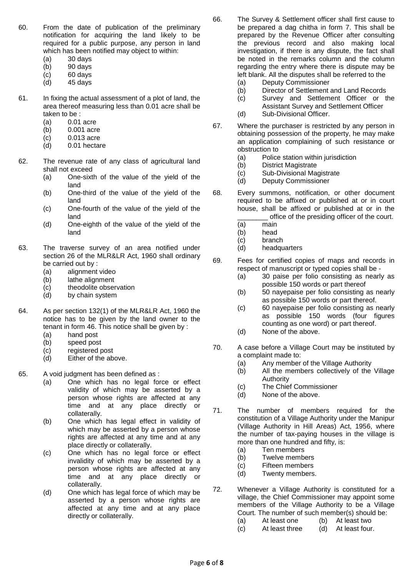- 60. From the date of publication of the preliminary notification for acquiring the land likely to be required for a public purpose, any person in land which has been notified may object to within:
	- (a) 30 days
	- (b) 90 days
	- (c) 60 days
	- (d) 45 days
- 61. In fixing the actual assessment of a plot of land, the area thereof measuring less than 0.01 acre shall be taken to be :
	- (a) 0.01 acre
	- (b) 0.001 acre
	- (c) 0.013 acre
	- (d) 0.01 hectare
- 62. The revenue rate of any class of agricultural land shall not exceed
	- (a) One-sixth of the value of the yield of the land
	- (b) One-third of the value of the yield of the land
	- (c) One-fourth of the value of the yield of the land
	- (d) One-eighth of the value of the yield of the land
- 63. The traverse survey of an area notified under section 26 of the MLR&LR Act, 1960 shall ordinary be carried out by :
	- (a) alignment video
	- (b) lathe alignment
	- (c) theodolite observation
	- (d) by chain system
- 64. As per section 132(1) of the MLR&LR Act, 1960 the notice has to be given by the land owner to the tenant in form 46. This notice shall be given by :
	- (a) hand post
	- (b) speed post
	- (c) registered post
	- (d) Either of the above.
- 65. A void judgment has been defined as :
	- (a) One which has no legal force or effect validity of which may be asserted by a person whose rights are affected at any time and at any place directly or collaterally.
	- (b) One which has legal effect in validity of which may be asserted by a person whose rights are affected at any time and at any place directly or collaterally.
	- (c) One which has no legal force or effect invalidity of which may be asserted by a person whose rights are affected at any time and at any place directly or collaterally.
	- (d) One which has legal force of which may be asserted by a person whose rights are affected at any time and at any place directly or collaterally.
- 66. The Survey & Settlement officer shall first cause to be prepared a dag chitha in form 7. This shall be prepared by the Revenue Officer after consulting the previous record and also making local investigation, if there is any dispute, the fact shall be noted in the remarks column and the column regarding the entry where there is dispute may be left blank. All the disputes shall be referred to the
	- (a) Deputy Commissioner
	- (b) Director of Settlement and Land Records
	- (c) Survey and Settlement Officer or the Assistant Survey and Settlement Officer
	- (d) Sub-Divisional Officer.
- 67. Where the purchaser is restricted by any person in obtaining possession of the property, he may make an application complaining of such resistance or obstruction to
	- (a) Police station within jurisdiction
	- (b) District Magistrate
	- (c) Sub-Divisional Magistrate
	- (d) Deputy Commissioner
- 68. Every summons, notification, or other document required to be affixed or published at or in court house, shall be affixed or published at or in the
	- \_\_\_\_\_\_\_\_ office of the presiding officer of the court.
	- (a) main
	- (b) head
	- (c) branch
	- (d) headquarters
- 69. Fees for certified copies of maps and records in respect of manuscript or typed copies shall be -
	- (a) 30 paise per folio consisting as nearly as possible 150 words or part thereof
	- (b) 50 nayepaise per folio consisting as nearly as possible 150 words or part thereof.
	- (c) 60 nayepaise per folio consisting as nearly as possible 150 words (four figures counting as one word) or part thereof.
	- (d) None of the above.
- 70. A case before a Village Court may be instituted by a complaint made to:
	- (a) Any member of the Village Authority
	- (b) All the members collectively of the Village Authority
	- (c) The Chief Commissioner
	- (d) None of the above.
- 71. The number of members required for the constitution of a Village Authority under the Manipur (Village Authority in Hill Areas) Act, 1956, where the number of tax-paying houses in the village is more than one hundred and fifty, is:
	- (a) Ten members
	- (b) Twelve members
	- (c) Fifteen members
	- (d) Twenty members.
- 72. Whenever a Village Authority is constituted for a village, the Chief Commissioner may appoint some members of the Village Authority to be a Village Court. The number of such member(s) should be:
	- (a) At least one (b) At least two
	- (c) At least three (d) At least four.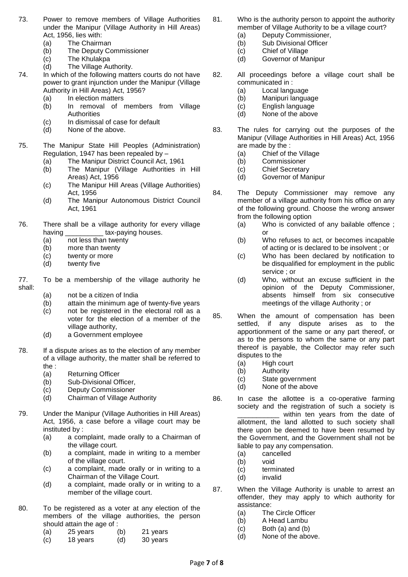- 73. Power to remove members of Village Authorities under the Manipur (Village Authority in Hill Areas) Act, 1956, lies with:
	- (a) The Chairman
	- (b) The Deputy Commissioner
	- (c) The Khulakpa
	- (d) The Village Authority.
- 74. In which of the following matters courts do not have power to grant injunction under the Manipur (Village Authority in Hill Areas) Act, 1956?
	- (a) In election matters
	- (b) In removal of members from Village **Authorities**
	- (c) In dismissal of case for default
	- (d) None of the above.
- 75. The Manipur State Hill Peoples (Administration) Regulation, 1947 has been repealed by –
	- (a) The Manipur District Council Act, 1961
	- (b) The Manipur (Village Authorities in Hill Areas) Act, 1956
	- (c) The Manipur Hill Areas (Village Authorities) Act, 1956
	- (d) The Manipur Autonomous District Council Act, 1961
- 76. There shall be a village authority for every village having tax-paying houses.
	- (a) not less than twenty
	- (b) more than twenty
	- (c) twenty or more
	- (d) twenty five

77. To be a membership of the village authority he shall:

- (a) not be a citizen of India
- (b) attain the minimum age of twenty-five years
- (c) not be registered in the electoral roll as a voter for the election of a member of the village authority,
- (d) a Government employee
- 78. If a dispute arises as to the election of any member of a village authority, the matter shall be referred to the :
	- (a) Returning Officer
	- (b) Sub-Divisional Officer,
	- (c) Deputy Commissioner
	- (d) Chairman of Village Authority
- 79. Under the Manipur (Village Authorities in Hill Areas) Act, 1956, a case before a village court may be instituted by :
	- (a) a complaint, made orally to a Chairman of the village court.
	- (b) a complaint, made in writing to a member of the village court.
	- (c) a complaint, made orally or in writing to a Chairman of the Village Court.
	- (d) a complaint, made orally or in writing to a member of the village court.
- 80. To be registered as a voter at any election of the members of the village authorities, the person should attain the age of :
	- (a) 25 years (b) 21 years
	- (c) 18 years (d) 30 years
- 81. Who is the authority person to appoint the authority member of Village Authority to be a village court?
	- (a) Deputy Commissioner,
	- (b) Sub Divisional Officer
	- (c) Chief of Village
	- (d) Governor of Manipur
- 82. All proceedings before a village court shall be communicated in :
	- (a) Local language
	- (b) Manipuri language
	- (c) English language
	- (d) None of the above
- 83. The rules for carrying out the purposes of the Manipur (Village Authorities in Hill Areas) Act, 1956 are made by the :
	- (a) Chief of the Village
	- (b) Commissioner
	- (c) Chief Secretary
	- (d) Governor of Manipur
- 84. The Deputy Commissioner may remove any member of a village authority from his office on any of the following ground. Choose the wrong answer from the following option
	- (a) Who is convicted of any bailable offence ; or
	- (b) Who refuses to act, or becomes incapable of acting or is declared to be insolvent ; or
	- (c) Who has been declared by notification to be disqualified for employment in the public service ; or
	- (d) Who, without an excuse sufficient in the opinion of the Deputy Commissioner, absents himself from six consecutive meetings of the village Authority ; or
- 85. When the amount of compensation has been settled, if any dispute arises as to the apportionment of the same or any part thereof, or as to the persons to whom the same or any part thereof is payable, the Collector may refer such disputes to the
	- (a) High court
	- (b) Authority
	- (c) State government
	- (d) None of the above
- 86. In case the allottee is a co-operative farming society and the registration of such a society is within ten years from the date of allotment, the land allotted to such society shall there upon be deemed to have been resumed by the Government, and the Government shall not be liable to pay any compensation.
	- (a) cancelled
	- (b) void
	- (c) terminated
	- (d) invalid
- 87. When the Village Authority is unable to arrest an offender, they may apply to which authority for assistance:
	- (a) The Circle Officer
	- (b) A Head Lambu
	- (c) Both (a) and (b)
	- (d) None of the above.